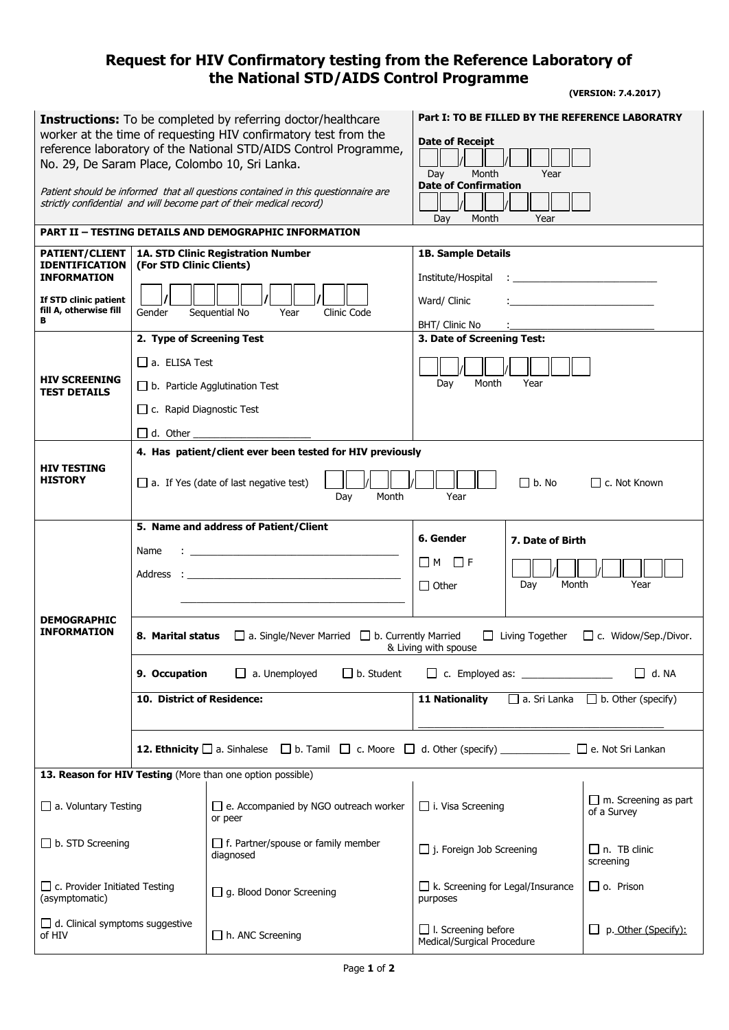## **Request for HIV Confirmatory testing from the Reference Laboratory of the National STD/AIDS Control Programme**

 **(VERSION: 7.4.2017)**

|                                                                                                                                                          |                                       |                                                                                                                        | Part I: TO BE FILLED BY THE REFERENCE LABORATRY                                                                                            |  |
|----------------------------------------------------------------------------------------------------------------------------------------------------------|---------------------------------------|------------------------------------------------------------------------------------------------------------------------|--------------------------------------------------------------------------------------------------------------------------------------------|--|
| <b>Instructions:</b> To be completed by referring doctor/healthcare<br>worker at the time of requesting HIV confirmatory test from the                   |                                       |                                                                                                                        |                                                                                                                                            |  |
| reference laboratory of the National STD/AIDS Control Programme,                                                                                         |                                       |                                                                                                                        | <b>Date of Receipt</b>                                                                                                                     |  |
| No. 29, De Saram Place, Colombo 10, Sri Lanka.                                                                                                           |                                       |                                                                                                                        |                                                                                                                                            |  |
|                                                                                                                                                          |                                       |                                                                                                                        | Day<br>Month<br>Year<br><b>Date of Confirmation</b>                                                                                        |  |
| Patient should be informed that all questions contained in this questionnaire are<br>strictly confidential and will become part of their medical record) |                                       |                                                                                                                        |                                                                                                                                            |  |
|                                                                                                                                                          |                                       |                                                                                                                        | Month<br>Year<br>Day                                                                                                                       |  |
| <b>PART II - TESTING DETAILS AND DEMOGRAPHIC INFORMATION</b>                                                                                             |                                       |                                                                                                                        |                                                                                                                                            |  |
| <b>PATIENT/CLIENT</b>                                                                                                                                    |                                       | 1A. STD Clinic Registration Number                                                                                     | <b>1B. Sample Details</b>                                                                                                                  |  |
| <b>IDENTIFICATION</b><br><b>INFORMATION</b>                                                                                                              | (For STD Clinic Clients)              |                                                                                                                        | Institute/Hospital<br>the contract of the contract of the contract of                                                                      |  |
|                                                                                                                                                          |                                       |                                                                                                                        |                                                                                                                                            |  |
| If STD clinic patient<br>fill A, otherwise fill                                                                                                          | Gender                                | Year<br>Clinic Code<br>Sequential No                                                                                   | Ward/ Clinic                                                                                                                               |  |
| в                                                                                                                                                        |                                       |                                                                                                                        | BHT/ Clinic No                                                                                                                             |  |
| <b>HIV SCREENING</b><br><b>TEST DETAILS</b>                                                                                                              | 2. Type of Screening Test             |                                                                                                                        | 3. Date of Screening Test:                                                                                                                 |  |
|                                                                                                                                                          | $\Box$ a. ELISA Test                  |                                                                                                                        |                                                                                                                                            |  |
|                                                                                                                                                          | $\Box$ b. Particle Agglutination Test |                                                                                                                        | Month<br>Year<br>Day                                                                                                                       |  |
|                                                                                                                                                          | $\Box$ c. Rapid Diagnostic Test       |                                                                                                                        |                                                                                                                                            |  |
|                                                                                                                                                          | $\Box$ d. Other                       |                                                                                                                        |                                                                                                                                            |  |
|                                                                                                                                                          |                                       | 4. Has patient/client ever been tested for HIV previously                                                              |                                                                                                                                            |  |
| HIV TESTING                                                                                                                                              |                                       |                                                                                                                        |                                                                                                                                            |  |
| <b>HISTORY</b>                                                                                                                                           |                                       | $\Box$ a. If Yes (date of last negative test)<br>Month<br>Day                                                          | $\Box$ b. No<br>□ c. Not Known<br>Year                                                                                                     |  |
|                                                                                                                                                          |                                       |                                                                                                                        |                                                                                                                                            |  |
|                                                                                                                                                          |                                       | 5. Name and address of Patient/Client                                                                                  |                                                                                                                                            |  |
|                                                                                                                                                          | Name                                  | <u> 1989 - Johann John Hermann, marwolaeth a bhaile an t-Alban Alban Alban Alban Alban Alban Alban Alban Alban Alb</u> | 6. Gender<br>7. Date of Birth                                                                                                              |  |
|                                                                                                                                                          |                                       |                                                                                                                        | $\Box$ M<br>$\Box$ F                                                                                                                       |  |
|                                                                                                                                                          |                                       |                                                                                                                        |                                                                                                                                            |  |
|                                                                                                                                                          |                                       |                                                                                                                        | Month<br>Year<br>$\Box$ Other<br>Day                                                                                                       |  |
|                                                                                                                                                          |                                       |                                                                                                                        |                                                                                                                                            |  |
| <b>DEMOGRAPHIC</b><br><b>INFORMATION</b>                                                                                                                 |                                       |                                                                                                                        |                                                                                                                                            |  |
|                                                                                                                                                          | 8. Marital status                     | $\Box$ a. Single/Never Married<br>$\Box$ b. Currently Married                                                          | $\Box$ Living Together<br>□ c. Widow/Sep./Divor.<br>& Living with spouse                                                                   |  |
|                                                                                                                                                          | 9. Occupation                         | $\Box$ b. Student<br>$\Box$ a. Unemployed                                                                              | $\Box$ d. NA<br>$\Box$ c. Employed as: _________________                                                                                   |  |
|                                                                                                                                                          | 10. District of Residence:            |                                                                                                                        | $\Box$ a. Sri Lanka $\Box$ b. Other (specify)                                                                                              |  |
|                                                                                                                                                          |                                       |                                                                                                                        | <b>11 Nationality</b>                                                                                                                      |  |
|                                                                                                                                                          |                                       |                                                                                                                        |                                                                                                                                            |  |
|                                                                                                                                                          |                                       |                                                                                                                        | <b>12. Ethnicity</b> $\Box$ a. Sinhalese $\Box$ b. Tamil $\Box$ c. Moore $\Box$ d. Other (specify) ______________ $\Box$ e. Not Sri Lankan |  |
|                                                                                                                                                          |                                       | 13. Reason for HIV Testing (More than one option possible)                                                             |                                                                                                                                            |  |
|                                                                                                                                                          |                                       |                                                                                                                        | $\Box$ m. Screening as part                                                                                                                |  |
| a. Voluntary Testing                                                                                                                                     |                                       | $\Box$ e. Accompanied by NGO outreach worker<br>or peer                                                                | $\Box$ i. Visa Screening<br>of a Survey                                                                                                    |  |
|                                                                                                                                                          |                                       |                                                                                                                        |                                                                                                                                            |  |
| $\Box$ b. STD Screening                                                                                                                                  |                                       | $\Box$ f. Partner/spouse or family member<br>diagnosed                                                                 | $\Box$ j. Foreign Job Screening<br>$\Box$ n. TB clinic                                                                                     |  |
|                                                                                                                                                          |                                       |                                                                                                                        | screening                                                                                                                                  |  |
| $\Box$ c. Provider Initiated Testing                                                                                                                     |                                       | $\Box$ g. Blood Donor Screening                                                                                        | $\Box$ o. Prison<br>$\Box$ k. Screening for Legal/Insurance                                                                                |  |
| (asymptomatic)                                                                                                                                           |                                       |                                                                                                                        | purposes                                                                                                                                   |  |
| $\Box$ d. Clinical symptoms suggestive<br>of HIV                                                                                                         |                                       | $\Box$ h. ANC Screening                                                                                                | $\Box$ I. Screening before<br>p. Other (Specify):<br>Medical/Surgical Procedure                                                            |  |